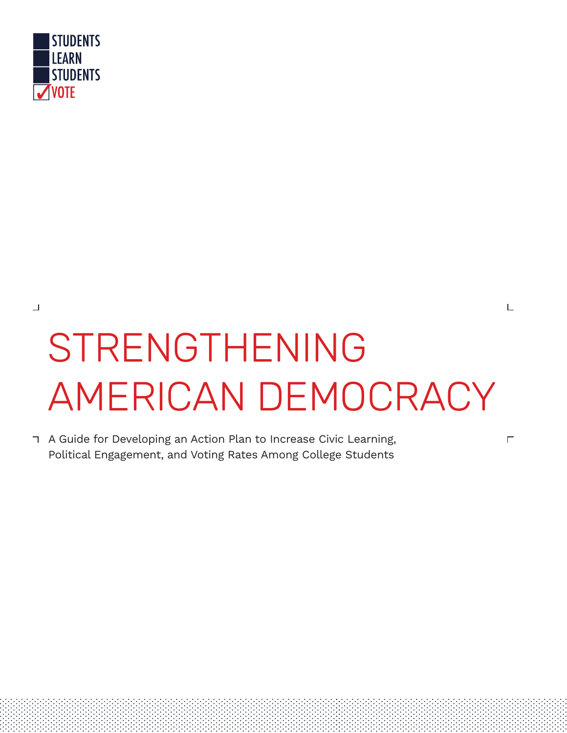

 $\Box$ 

# STRENGTHENING AMERICAN DEMOCRACY

L

 $\overline{\Gamma}$ 

A Guide for Developing an Action Plan to Increase Civic Learning, Political Engagement, and Voting Rates Among College Students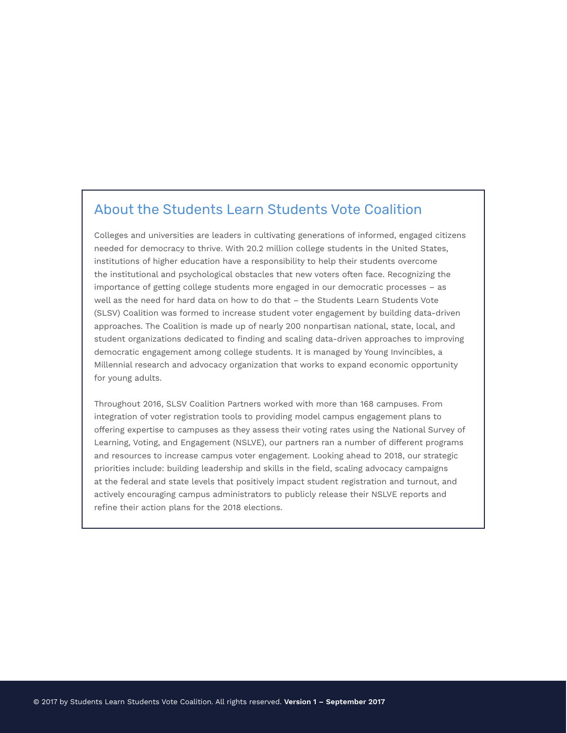## About the Students Learn Students Vote Coalition

Colleges and universities are leaders in cultivating generations of informed, engaged citizens needed for democracy to thrive. With 20.2 million college students in the United States, institutions of higher education have a responsibility to help their students overcome the institutional and psychological obstacles that new voters often face. Recognizing the importance of getting college students more engaged in our democratic processes – as well as the need for hard data on how to do that – the Students Learn Students Vote (SLSV) Coalition was formed to increase student voter engagement by building data-driven approaches. The Coalition is made up of nearly 200 nonpartisan national, state, local, and student organizations dedicated to finding and scaling data-driven approaches to improving democratic engagement among college students. It is managed by Young Invincibles, a Millennial research and advocacy organization that works to expand economic opportunity for young adults.

Throughout 2016, SLSV Coalition Partners worked with more than 168 campuses. From integration of voter registration tools to providing model campus engagement plans to offering expertise to campuses as they assess their voting rates using the National Survey of Learning, Voting, and Engagement (NSLVE), our partners ran a number of different programs and resources to increase campus voter engagement. Looking ahead to 2018, our strategic priorities include: building leadership and skills in the field, scaling advocacy campaigns at the federal and state levels that positively impact student registration and turnout, and actively encouraging campus administrators to publicly release their NSLVE reports and refine their action plans for the 2018 elections.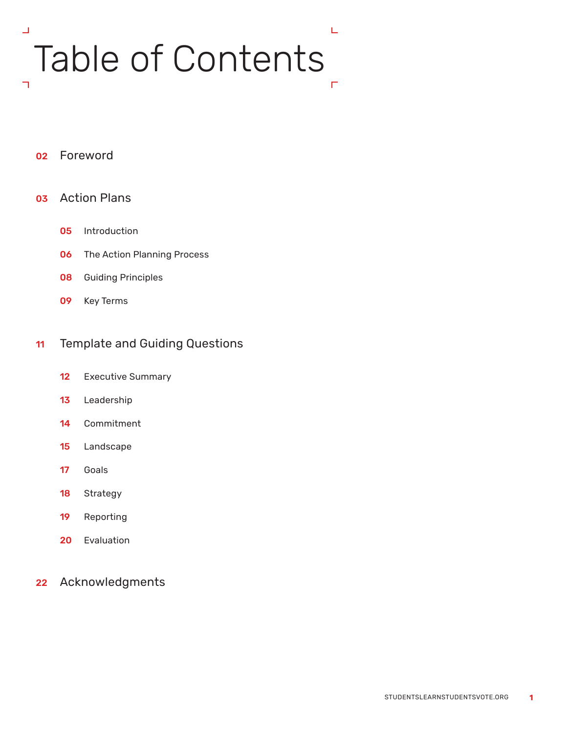## L Table of Contents  $\Gamma$

#### Foreword 02

 $\overline{\phantom{0}}$ 

h

#### Action Plans 03

- 05 Introduction
- 06 The Action Planning Process
- 08 Guiding Principles
- 09 Key Terms

#### Template and Guiding Questions 11

- 12 Executive Summary
- 13 Leadership
- 14 Commitment
- 15 Landscape
- 17 Goals
- 18 Strategy
- 19 Reporting
- 20 Evaluation

#### Acknowledgments 22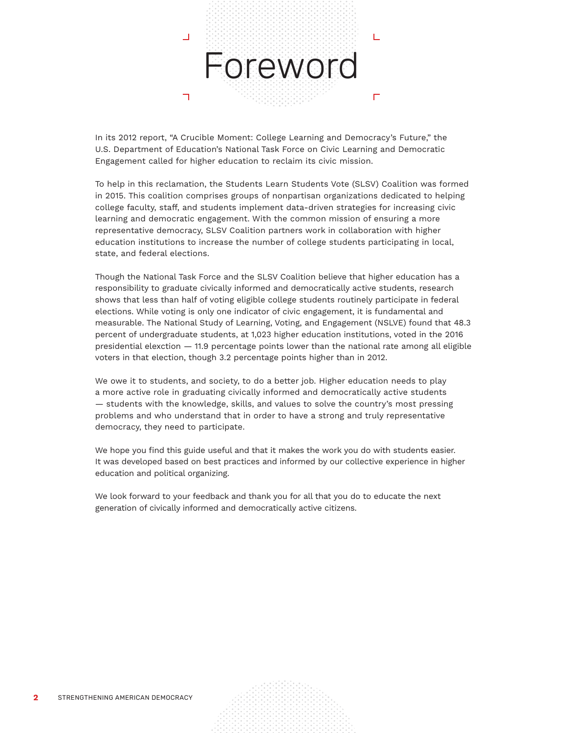

In its 2012 report, "A Crucible Moment: College Learning and Democracy's Future," the U.S. Department of Education's National Task Force on Civic Learning and Democratic Engagement called for higher education to reclaim its civic mission.

To help in this reclamation, the Students Learn Students Vote (SLSV) Coalition was formed in 2015. This coalition comprises groups of nonpartisan organizations dedicated to helping college faculty, staff, and students implement data-driven strategies for increasing civic learning and democratic engagement. With the common mission of ensuring a more representative democracy, SLSV Coalition partners work in collaboration with higher education institutions to increase the number of college students participating in local, state, and federal elections.

Though the National Task Force and the SLSV Coalition believe that higher education has a responsibility to graduate civically informed and democratically active students, research shows that less than half of voting eligible college students routinely participate in federal elections. While voting is only one indicator of civic engagement, it is fundamental and measurable. The National Study of Learning, Voting, and Engagement (NSLVE) found that 48.3 percent of undergraduate students, at 1,023 higher education institutions, voted in the 2016 presidential elexction — 11.9 percentage points lower than the national rate among all eligible voters in that election, though 3.2 percentage points higher than in 2012.

We owe it to students, and society, to do a better job. Higher education needs to play a more active role in graduating civically informed and democratically active students — students with the knowledge, skills, and values to solve the country's most pressing problems and who understand that in order to have a strong and truly representative democracy, they need to participate.

We hope you find this guide useful and that it makes the work you do with students easier. It was developed based on best practices and informed by our collective experience in higher education and political organizing.

We look forward to your feedback and thank you for all that you do to educate the next generation of civically informed and democratically active citizens.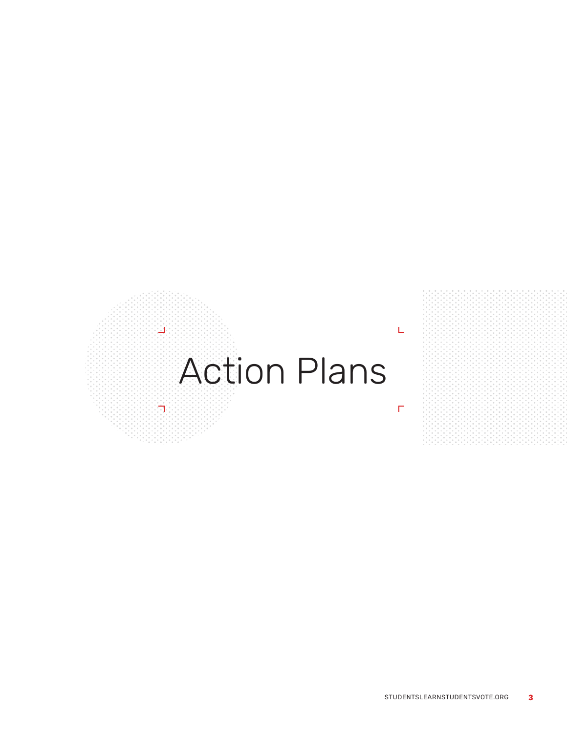## Action Plans

Ĥ

ä

 $\overline{\Gamma}$ 

L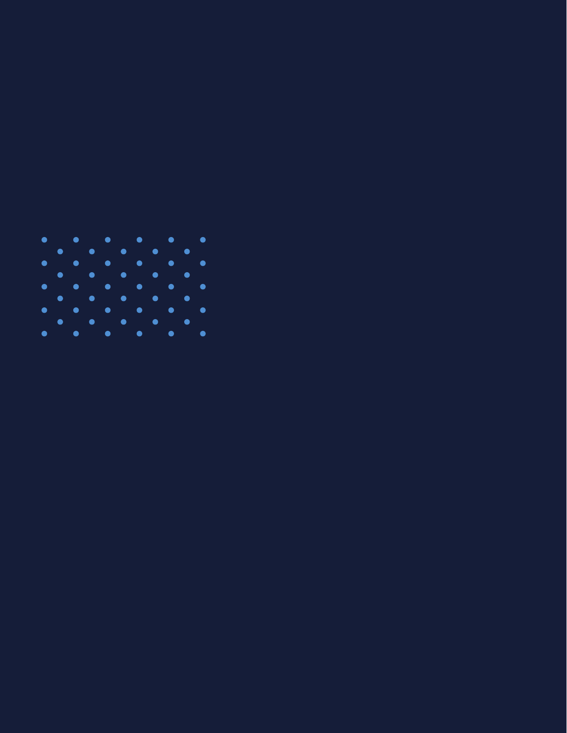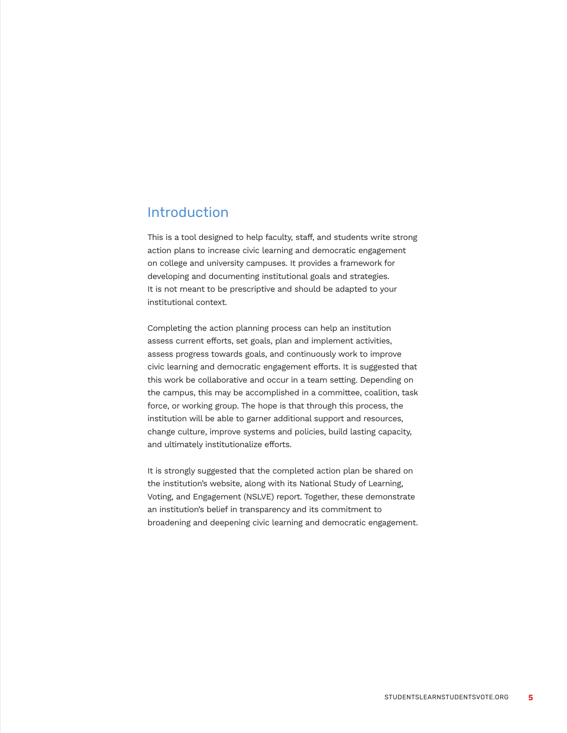### Introduction

This is a tool designed to help faculty, staff, and students write strong action plans to increase civic learning and democratic engagement on college and university campuses. It provides a framework for developing and documenting institutional goals and strategies. It is not meant to be prescriptive and should be adapted to your institutional context.

Completing the action planning process can help an institution assess current efforts, set goals, plan and implement activities, assess progress towards goals, and continuously work to improve civic learning and democratic engagement efforts. It is suggested that this work be collaborative and occur in a team setting. Depending on the campus, this may be accomplished in a committee, coalition, task force, or working group. The hope is that through this process, the institution will be able to garner additional support and resources, change culture, improve systems and policies, build lasting capacity, and ultimately institutionalize efforts.

It is strongly suggested that the completed action plan be shared on the institution's website, along with its National Study of Learning, Voting, and Engagement (NSLVE) report. Together, these demonstrate an institution's belief in transparency and its commitment to broadening and deepening civic learning and democratic engagement.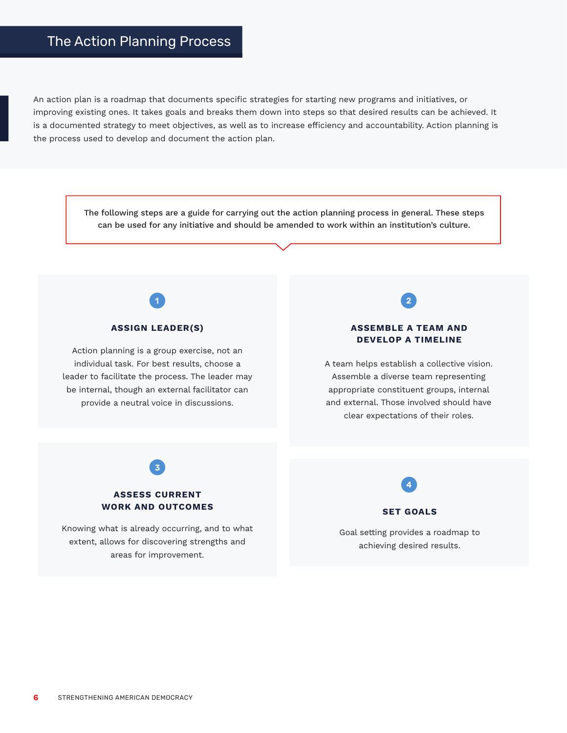## The Action Planning Process

An action plan is a roadmap that documents specific strategies for starting new programs and initiatives, or improving existing ones. It takes goals and breaks them down into steps so that desired results can be achieved. It is a documented strategy to meet objectives, as well as to increase efficiency and accountability. Action planning is the process used to develop and document the action plan.

> The following steps are a guide for carrying out the action planning process in general. These steps can be used for any initiative and should be amended to work within an institution's culture.

#### **ASSIGN LEADER(S)**

Action planning is a group exercise, not an individual task. For best results, choose a leader to facilitate the process. The leader may be internal, though an external facilitator can provide a neutral voice in discussions.

 $\overline{2}$ 

#### **ASSEMBLE A TEAM AND DEVELOP A TIMELINE**

A team helps establish a collective vision. Assemble a diverse team representing appropriate constituent groups, internal and external. Those involved should have clear expectations of their roles.

## $\overline{\mathbf{3}}$

#### **ASSESS CURRENT** WORK AND OUTCOMES **SET GOALS**

Knowing what is already occurring, and to what extent, allows for discovering strengths and areas for improvement.



Goal setting provides a roadmap to achieving desired results.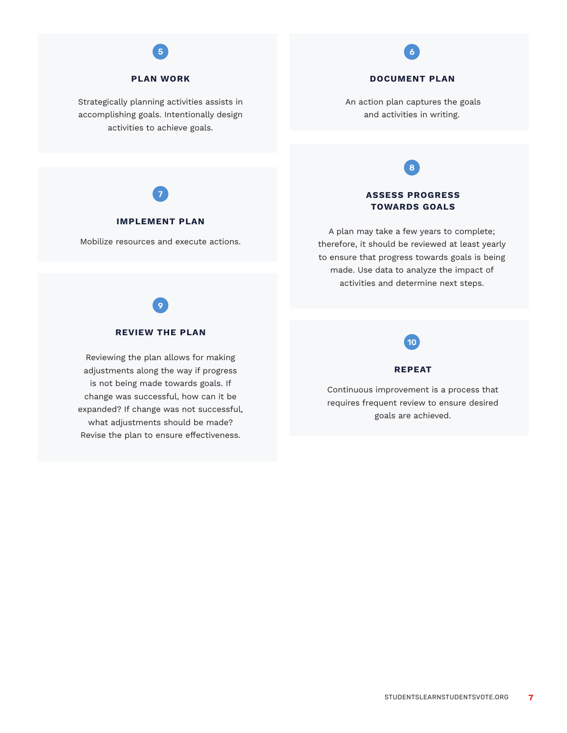## $5\phantom{1}$

#### **PLAN WORK**

Strategically planning activities assists in accomplishing goals. Intentionally design activities to achieve goals.

## $\ddot{\mathbf{6}}$

#### **DOCUMENT PLAN**

 An action plan captures the goals and activities in writing.

## $\mathbf{8}$

#### **ASSESS PROGRESS TOWARDS GOALS**

A plan may take a few years to complete; therefore, it should be reviewed at least yearly to ensure that progress towards goals is being made. Use data to analyze the impact of activities and determine next steps.



Mobilize resources and execute actions.

**IMPLEMENT PLAN**

 $\overline{7}$ 

#### **REVIEW THE PLAN**

Reviewing the plan allows for making adjustments along the way if progress is not being made towards goals. If change was successful, how can it be expanded? If change was not successful, what adjustments should be made? Revise the plan to ensure effectiveness.

#### $10<sup>1</sup>$

#### **REPEAT**

Continuous improvement is a process that requires frequent review to ensure desired goals are achieved.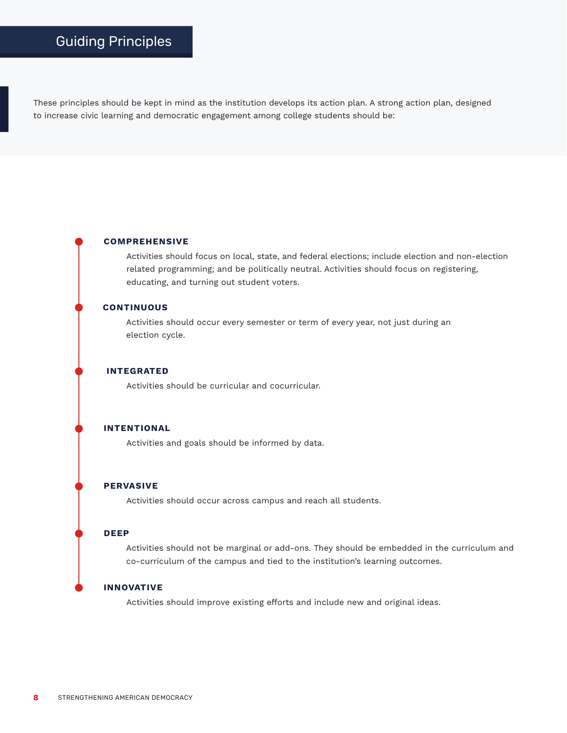## Guiding Principles

These principles should be kept in mind as the institution develops its action plan. A strong action plan, designed to increase civic learning and democratic engagement among college students should be:

#### **COMPREHENSIVE**

Activities should focus on local, state, and federal elections; include election and non-election related programming; and be politically neutral. Activities should focus on registering, educating, and turning out student voters.

#### **CONTINUOUS**

Activities should occur every semester or term of every year, not just during an election cycle.

#### **INTEGRATED**

Activities should be curricular and cocurricular.

#### **INTENTIONAL**

Activities and goals should be informed by data.

#### **PERVASIVE**

Activities should occur across campus and reach all students.

#### **DEEP**

Activities should not be marginal or add-ons. They should be embedded in the curriculum and co-curriculum of the campus and tied to the institution's learning outcomes.

#### **INNOVATIVE**

Activities should improve existing efforts and include new and original ideas.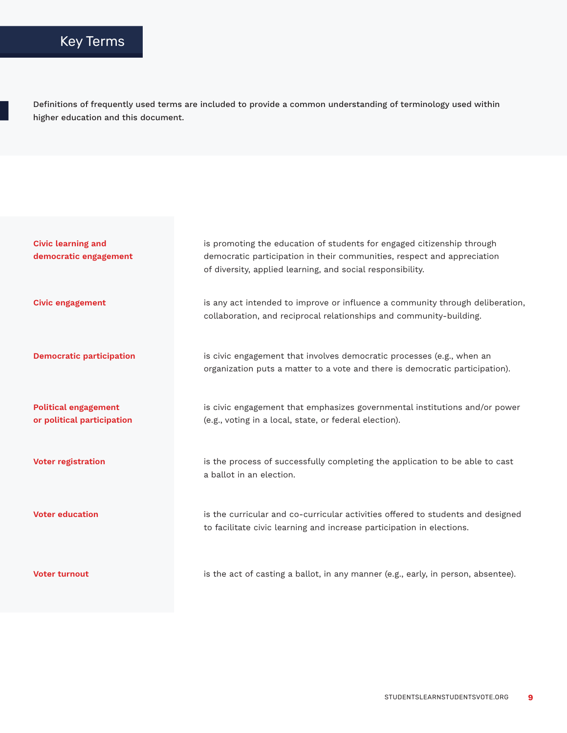Definitions of frequently used terms are included to provide a common understanding of terminology used within higher education and this document.

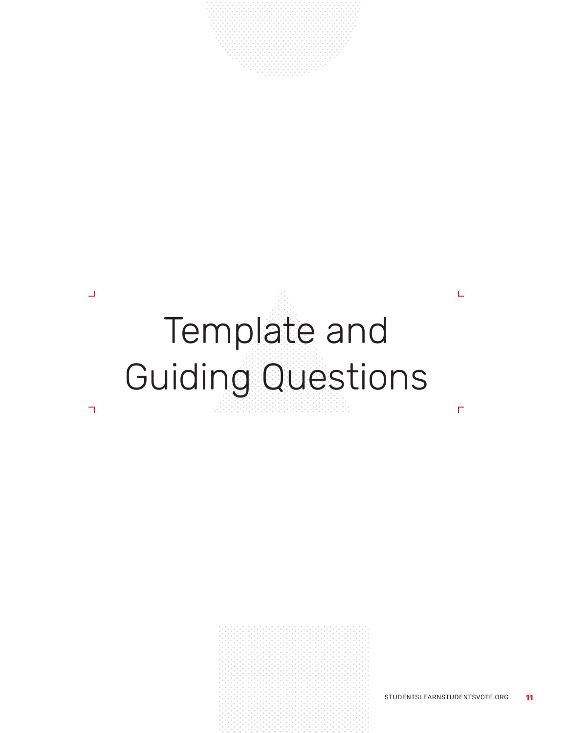

# Template and Guiding Questions

┙

┑

L

П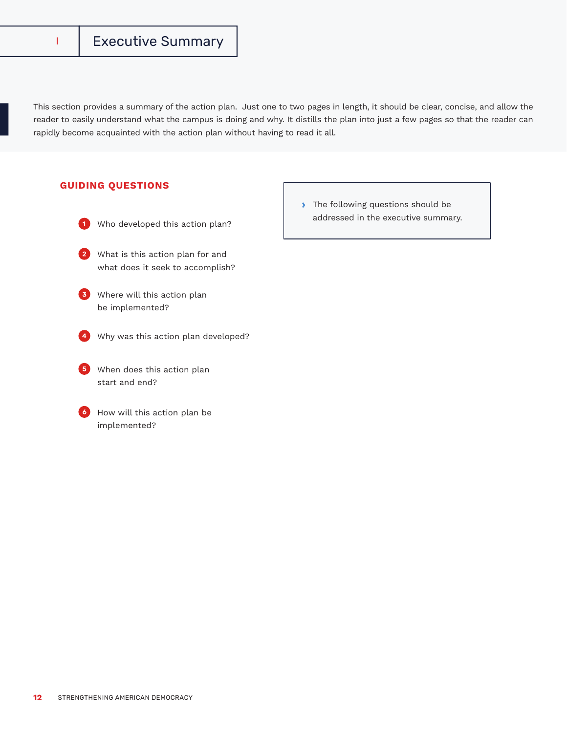This section provides a summary of the action plan. Just one to two pages in length, it should be clear, concise, and allow the reader to easily understand what the campus is doing and why. It distills the plan into just a few pages so that the reader can rapidly become acquainted with the action plan without having to read it all.

#### **GUIDING QUESTIONS**

|    | Who developed this action plan?                                      |
|----|----------------------------------------------------------------------|
|    | What is this action plan for and<br>what does it seek to accomplish? |
|    | Where will this action plan<br>be implemented?                       |
| 4  | Why was this action plan developed?                                  |
| 5. | When does this action plan<br>start and end?                         |

**6** How will this action plan be implemented?

The following questions should be addressed in the executive summary.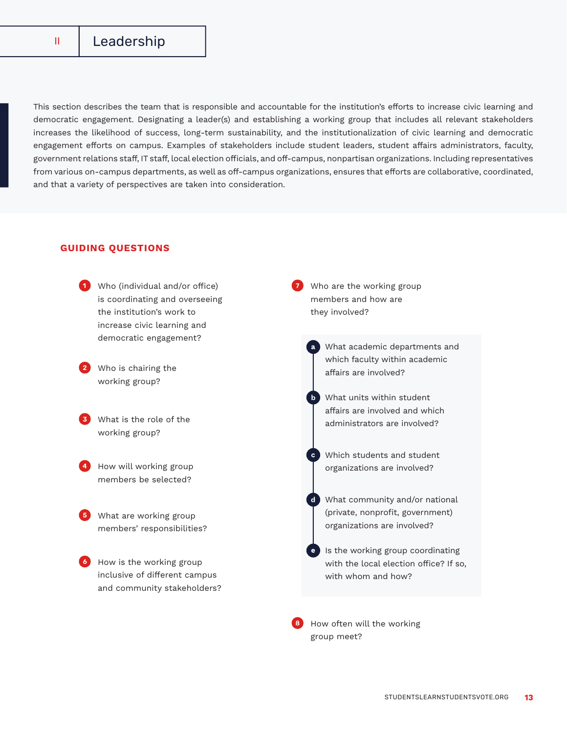This section describes the team that is responsible and accountable for the institution's efforts to increase civic learning and democratic engagement. Designating a leader(s) and establishing a working group that includes all relevant stakeholders increases the likelihood of success, long-term sustainability, and the institutionalization of civic learning and democratic engagement efforts on campus. Examples of stakeholders include student leaders, student affairs administrators, faculty, government relations staff, IT staff, local election officials, and off-campus, nonpartisan organizations. Including representatives from various on-campus departments, as well as off-campus organizations, ensures that efforts are collaborative, coordinated, and that a variety of perspectives are taken into consideration.

#### **GUIDING QUESTIONS**



group meet?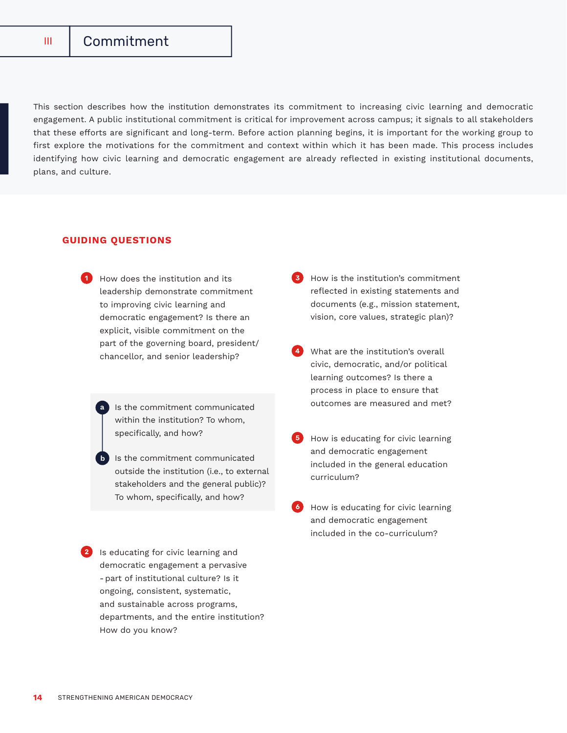This section describes how the institution demonstrates its commitment to increasing civic learning and democratic engagement. A public institutional commitment is critical for improvement across campus; it signals to all stakeholders that these efforts are significant and long-term. Before action planning begins, it is important for the working group to first explore the motivations for the commitment and context within which it has been made. This process includes identifying how civic learning and democratic engagement are already reflected in existing institutional documents, plans, and culture.

#### **GUIDING QUESTIONS**

- How does the institution and its leadership demonstrate commitment to improving civic learning and democratic engagement? Is there an explicit, visible commitment on the part of the governing board, president/ chancellor, and senior leadership?
	- Is the commitment communicated within the institution? To whom, specifically, and how? **a**
	- Is the commitment communicated outside the institution (i.e., to external stakeholders and the general public)? To whom, specifically, and how? **b**
- 2 Is educating for civic learning and democratic engagement a pervasive -part of institutional culture? Is it ongoing, consistent, systematic, and sustainable across programs, departments, and the entire institution? How do you know?
- **3** How is the institution's commitment reflected in existing statements and documents (e.g., mission statement, vision, core values, strategic plan)?
- What are the institution's overall civic, democratic, and/or political learning outcomes? Is there a process in place to ensure that outcomes are measured and met?
- How is educating for civic learning and democratic engagement included in the general education curriculum?
- How is educating for civic learning and democratic engagement included in the co-curriculum?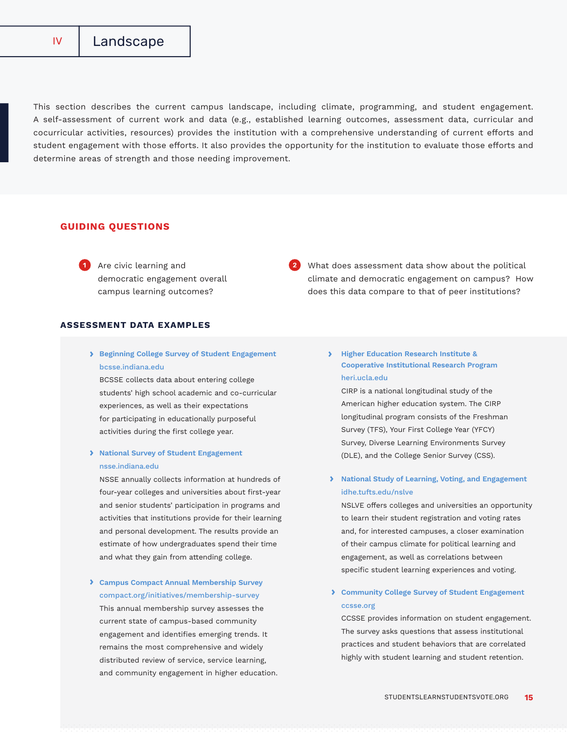This section describes the current campus landscape, including climate, programming, and student engagement. A self-assessment of current work and data (e.g., established learning outcomes, assessment data, curricular and cocurricular activities, resources) provides the institution with a comprehensive understanding of current efforts and student engagement with those efforts. It also provides the opportunity for the institution to evaluate those efforts and determine areas of strength and those needing improvement.

#### **GUIDING QUESTIONS**

**Are civic learning and** democratic engagement overall campus learning outcomes?

#### **ASSESSMENT DATA EXAMPLES**

**Beginning College Survey of Student Engagement** bcsse.indiana.edu

BCSSE collects data about entering college students' high school academic and co-curricular experiences, as well as their expectations for participating in educationally purposeful activities during the first college year.

#### **National Survey of Student Engagement** nsse.indiana.edu

NSSE annually collects information at hundreds of four-year colleges and universities about first-year and senior students' participation in programs and activities that institutions provide for their learning and personal development. The results provide an estimate of how undergraduates spend their time and what they gain from attending college.

#### **Campus Compact Annual Membership Survey** compact.org/initiatives/membership-survey This annual membership survey assesses the

current state of campus-based community engagement and identifies emerging trends. It remains the most comprehensive and widely distributed review of service, service learning, and community engagement in higher education. 2 What does assessment data show about the political climate and democratic engagement on campus? How does this data compare to that of peer institutions?

#### **Higher Education Research Institute & Cooperative Institutional Research Program** heri.ucla.edu

CIRP is a national longitudinal study of the American higher education system. The CIRP longitudinal program consists of the Freshman Survey (TFS), Your First College Year (YFCY) Survey, Diverse Learning Environments Survey (DLE), and the College Senior Survey (CSS).

#### **National Study of Learning, Voting, and Engagement** idhe.tufts.edu/nslve

NSLVE offers colleges and universities an opportunity to learn their student registration and voting rates and, for interested campuses, a closer examination of their campus climate for political learning and engagement, as well as correlations between specific student learning experiences and voting.

#### **Community College Survey of Student Engagement** ccsse.org

CCSSE provides information on student engagement. The survey asks questions that assess institutional practices and student behaviors that are correlated highly with student learning and student retention.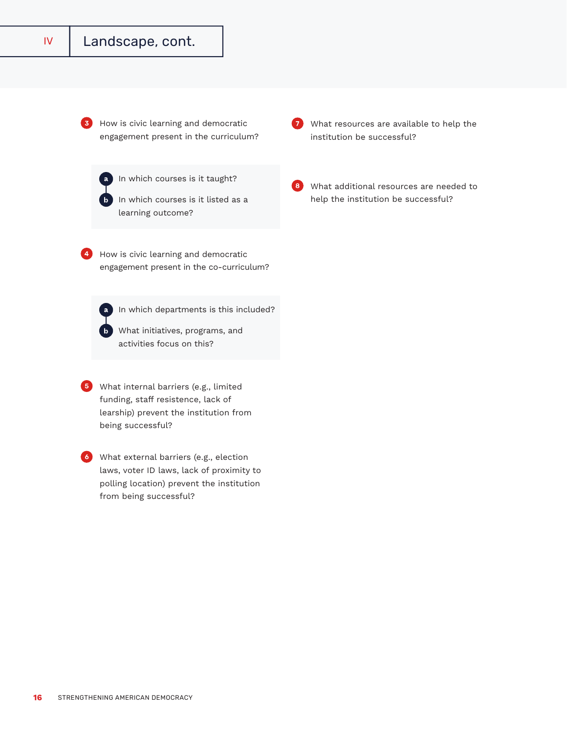**3** How is civic learning and democratic engagement present in the curriculum?

In which courses is it taught?  $\Box$ 

**b** In which courses is it listed as a learning outcome?

4 How is civic learning and democratic engagement present in the co-curriculum?

a) In which departments is this included?

What initiatives, programs, and  $\blacksquare$ activities focus on this?

5 What internal barriers (e.g., limited funding, staff resistence, lack of learship) prevent the institution from being successful?

6 What external barriers (e.g., election laws, voter ID laws, lack of proximity to polling location) prevent the institution from being successful?

- What resources are available to help the 7) institution be successful?
- 8 What additional resources are needed to help the institution be successful?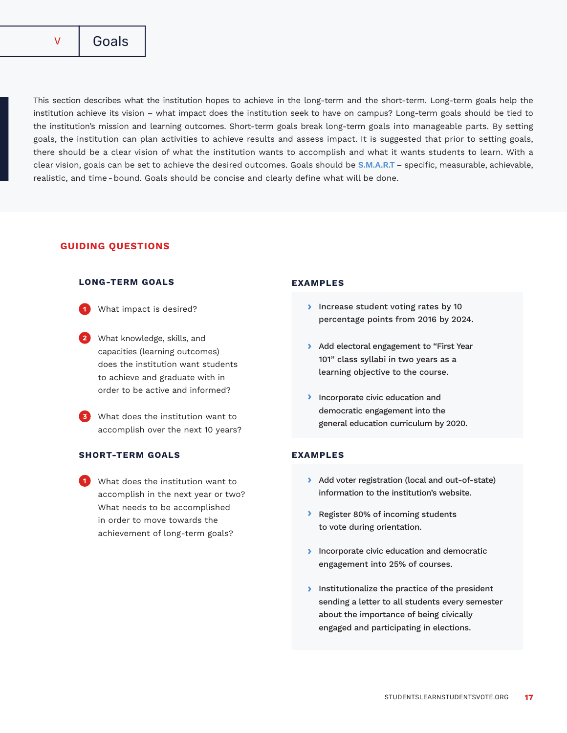

This section describes what the institution hopes to achieve in the long-term and the short-term. Long-term goals help the institution achieve its vision – what impact does the institution seek to have on campus? Long-term goals should be tied to the institution's mission and learning outcomes. Short-term goals break long-term goals into manageable parts. By setting goals, the institution can plan activities to achieve results and assess impact. It is suggested that prior to setting goals, there should be a clear vision of what the institution wants to accomplish and what it wants students to learn. With a clear vision, goals can be set to achieve the desired outcomes. Goals should be **S.M.A.R.T** – specific, measurable, achievable, realistic, and time -bound. Goals should be concise and clearly define what will be done.

#### **GUIDING QUESTIONS**

#### **LONG-TERM GOALS EXAMPLES**

- What impact is desired?
- **What knowledge, skills, and** capacities (learning outcomes) does the institution want students to achieve and graduate with in order to be active and informed?
- **3** What does the institution want to accomplish over the next 10 years?

#### **SHORT-TERM GOALS**

**1** What does the institution want to accomplish in the next year or two? What needs to be accomplished in order to move towards the achievement of long-term goals?

- Increase student voting rates by 10 percentage points from 2016 by 2024.
- Add electoral engagement to "First Year 101" class syllabi in two years as a learning objective to the course.
- Incorporate civic education and democratic engagement into the general education curriculum by 2020.

#### **EXAMPLES**

- Add voter registration (local and out-of-state) information to the institution's website.
- **Register 80% of incoming students** to vote during orientation.
- Incorporate civic education and democratic engagement into 25% of courses.
- Institutionalize the practice of the president sending a letter to all students every semester about the importance of being civically engaged and participating in elections.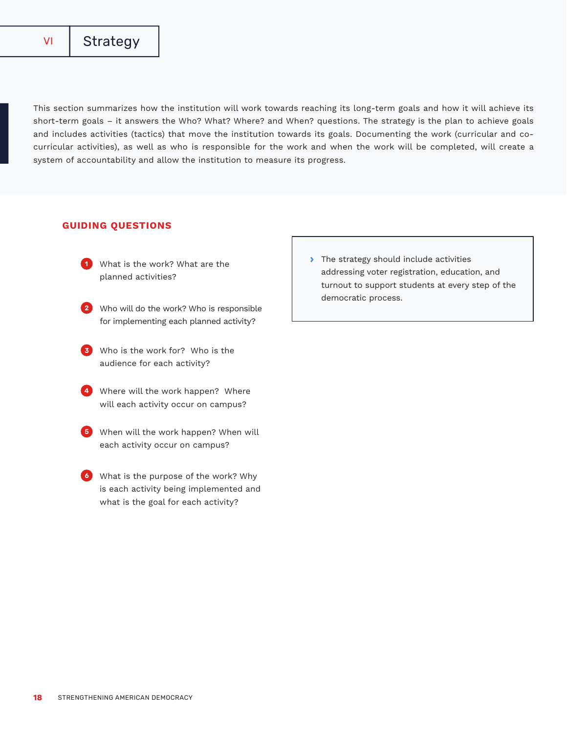This section summarizes how the institution will work towards reaching its long-term goals and how it will achieve its short-term goals – it answers the Who? What? Where? and When? questions. The strategy is the plan to achieve goals and includes activities (tactics) that move the institution towards its goals. Documenting the work (curricular and cocurricular activities), as well as who is responsible for the work and when the work will be completed, will create a system of accountability and allow the institution to measure its progress.

#### **GUIDING QUESTIONS**

- What is the work? What are the planned activities?
- 2 Who will do the work? Who is responsible for implementing each planned activity?
- **3** Who is the work for? Who is the audience for each activity?
- 4 Where will the work happen? Where will each activity occur on campus?
- 5 When will the work happen? When will each activity occur on campus?
- What is the purpose of the work? Why is each activity being implemented and what is the goal for each activity?

The strategy should include activities addressing voter registration, education, and turnout to support students at every step of the democratic process.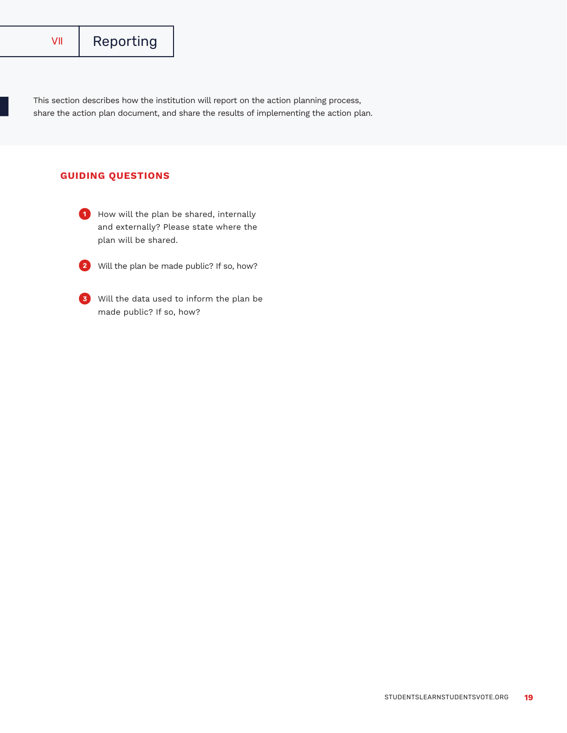This section describes how the institution will report on the action planning process, share the action plan document, and share the results of implementing the action plan.

#### **GUIDING QUESTIONS**



How will the plan be shared, internally and externally? Please state where the plan will be shared.

- 2 Will the plan be made public? If so, how?
- **3** Will the data used to inform the plan be made public? If so, how?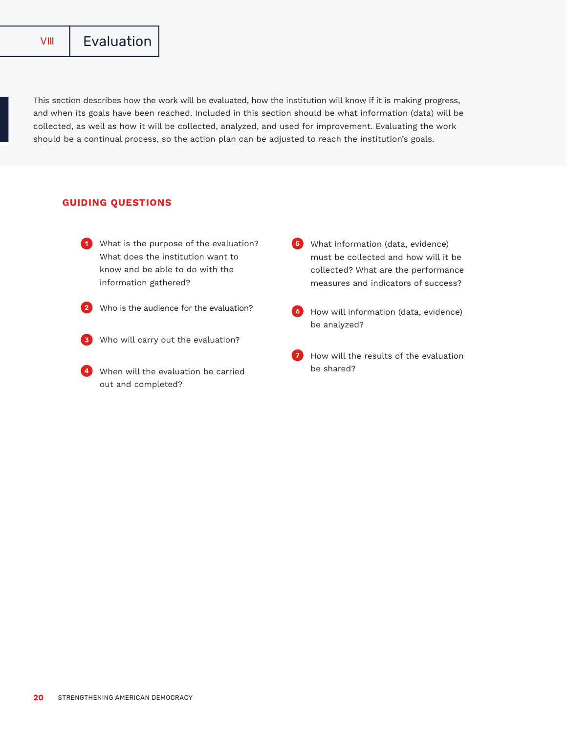This section describes how the work will be evaluated, how the institution will know if it is making progress, and when its goals have been reached. Included in this section should be what information (data) will be collected, as well as how it will be collected, analyzed, and used for improvement. Evaluating the work should be a continual process, so the action plan can be adjusted to reach the institution's goals.

#### **GUIDING QUESTIONS**

What is the purpose of the evaluation? What does the institution want to know and be able to do with the information gathered? Who is the audience for the evaluation? Who will carry out the evaluation? When will the evaluation be carried out and completed? What information (data, evidence) must be collected and how will it be collected? What are the performance measures and indicators of success? 6 How will information (data, evidence) be analyzed? How will the results of the evaluation be shared?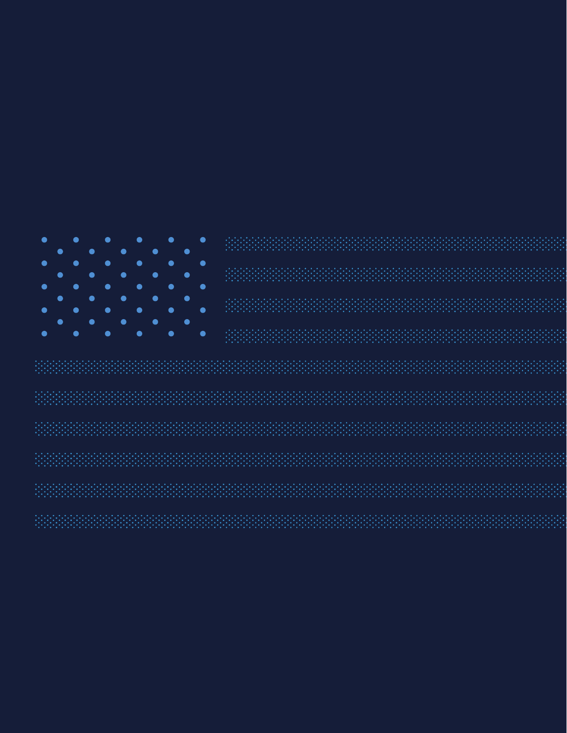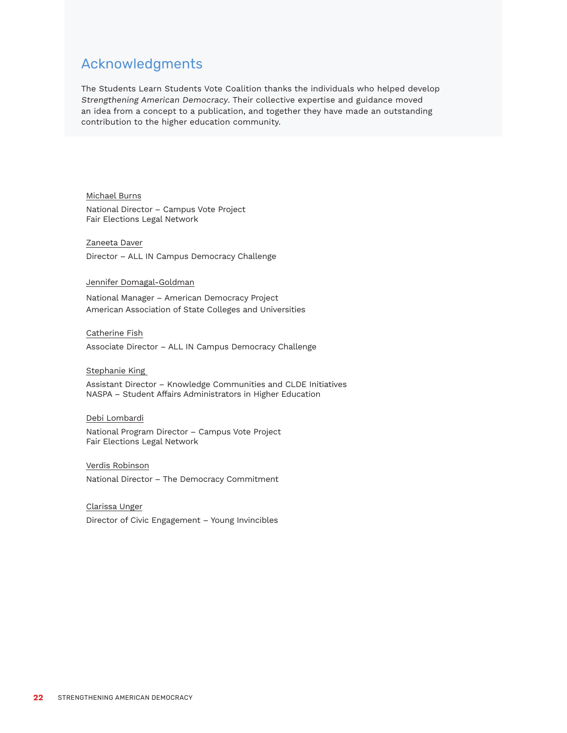## Acknowledgments

The Students Learn Students Vote Coalition thanks the individuals who helped develop Strengthening American Democracy. Their collective expertise and guidance moved an idea from a concept to a publication, and together they have made an outstanding contribution to the higher education community.

Michael Burns

National Director – Campus Vote Project Fair Elections Legal Network

Zaneeta Daver Director – ALL IN Campus Democracy Challenge

Jennifer Domagal-Goldman

National Manager – American Democracy Project American Association of State Colleges and Universities

Catherine Fish

Associate Director – ALL IN Campus Democracy Challenge

Stephanie King

Assistant Director – Knowledge Communities and CLDE Initiatives NASPA – Student Affairs Administrators in Higher Education

Debi Lombardi

National Program Director – Campus Vote Project Fair Elections Legal Network

Verdis Robinson National Director – The Democracy Commitment

Clarissa Unger Director of Civic Engagement – Young Invincibles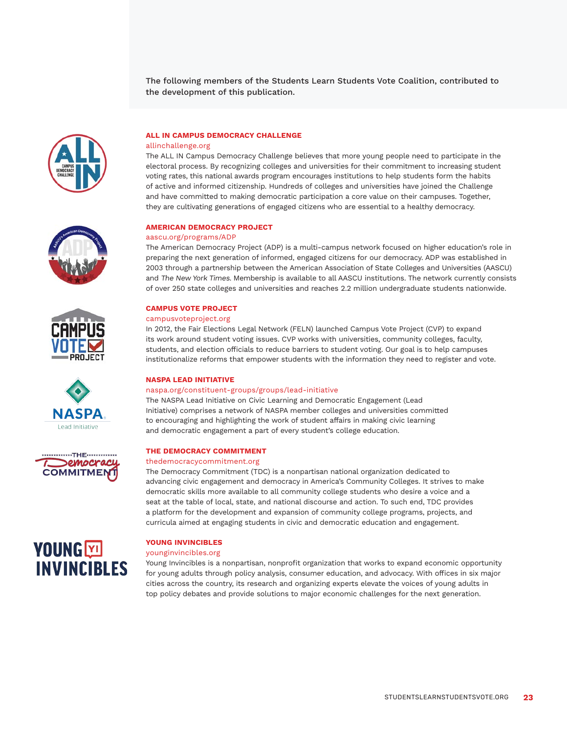The following members of the Students Learn Students Vote Coalition, contributed to the development of this publication.





#### allinchallenge.org

The ALL IN Campus Democracy Challenge believes that more young people need to participate in the electoral process. By recognizing colleges and universities for their commitment to increasing student voting rates, this national awards program encourages institutions to help students form the habits of active and informed citizenship. Hundreds of colleges and universities have joined the Challenge and have committed to making democratic participation a core value on their campuses. Together, they are cultivating generations of engaged citizens who are essential to a healthy democracy.

#### **AMERICAN DEMOCRACY PROJECT**

#### aascu.org/programs/ADP

The American Democracy Project (ADP) is a multi-campus network focused on higher education's role in preparing the next generation of informed, engaged citizens for our democracy. ADP was established in 2003 through a partnership between the American Association of State Colleges and Universities (AASCU) and The New York Times. Membership is available to all AASCU institutions. The network currently consists of over 250 state colleges and universities and reaches 2.2 million undergraduate students nationwide.

#### **CAMPUS VOTE PROJECT**

#### campusvoteproject.org

In 2012, the Fair Elections Legal Network (FELN) launched Campus Vote Project (CVP) to expand its work around student voting issues. CVP works with universities, community colleges, faculty, students, and election officials to reduce barriers to student voting. Our goal is to help campuses institutionalize reforms that empower students with the information they need to register and vote.

#### **NASPA LEAD INITIATIVE**

#### naspa.org/constituent-groups/groups/lead-initiative

The NASPA Lead Initiative on Civic Learning and Democratic Engagement (Lead Initiative) comprises a network of NASPA member colleges and universities committed to encouraging and highlighting the work of student affairs in making civic learning and democratic engagement a part of every student's college education.

#### **THE DEMOCRACY COMMITMENT**

#### thedemocracycommitment.org

The Democracy Commitment (TDC) is a nonpartisan national organization dedicated to advancing civic engagement and democracy in America's Community Colleges. It strives to make democratic skills more available to all community college students who desire a voice and a seat at the table of local, state, and national discourse and action. To such end, TDC provides a platform for the development and expansion of community college programs, projects, and curricula aimed at engaging students in civic and democratic education and engagement.

#### **YOUNG INVINCIBLES**

#### younginvincibles.org

Young Invincibles is a nonpartisan, nonprofit organization that works to expand economic opportunity for young adults through policy analysis, consumer education, and advocacy. With offices in six major cities across the country, its research and organizing experts elevate the voices of young adults in top policy debates and provide solutions to major economic challenges for the next generation.